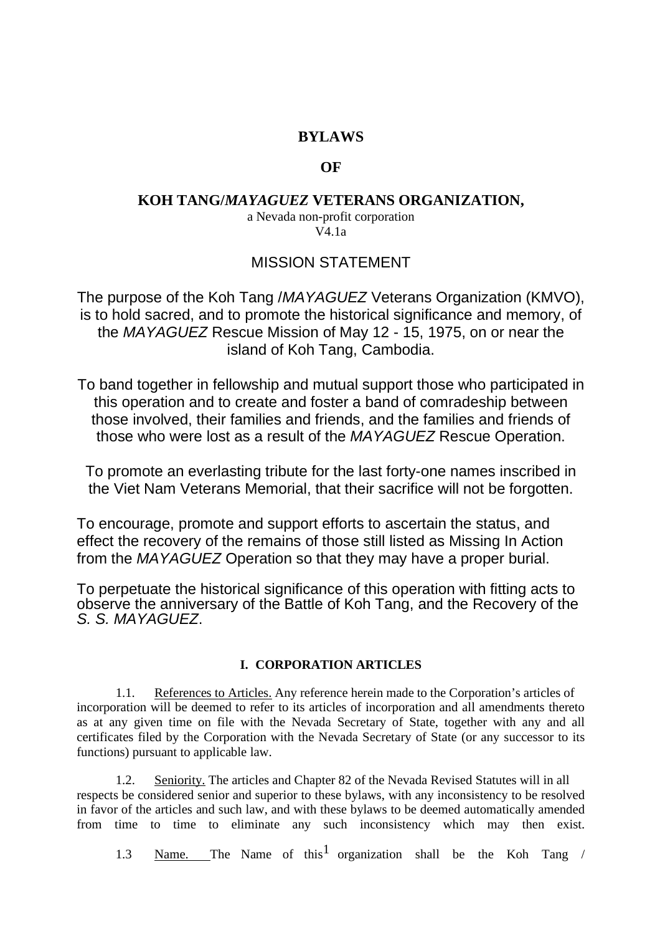## **BYLAWS**

## **OF**

## **KOH TANG/***MAYAGUEZ* **VETERANS ORGANIZATION,**

### a Nevada non-profit corporation V4.1a

# MISSION STATEMENT

The purpose of the Koh Tang /*MAYAGUEZ* Veterans Organization (KMVO), is to hold sacred, and to promote the historical significance and memory, of the *MAYAGUEZ* Rescue Mission of May 12 - 15, 1975, on or near the island of Koh Tang, Cambodia.

To band together in fellowship and mutual support those who participated in this operation and to create and foster a band of comradeship between those involved, their families and friends, and the families and friends of those who were lost as a result of the *MAYAGUEZ* Rescue Operation.

To promote an everlasting tribute for the last forty-one names inscribed in the Viet Nam Veterans Memorial, that their sacrifice will not be forgotten.

To encourage, promote and support efforts to ascertain the status, and effect the recovery of the remains of those still listed as Missing In Action from the *MAYAGUEZ* Operation so that they may have a proper burial.

To perpetuate the historical significance of this operation with fitting acts to observe the anniversary of the Battle of Koh Tang, and the Recovery of the *S. S. MAYAGUEZ*.

## **I. CORPORATION ARTICLES**

1.1. References to Articles. Any reference herein made to the Corporation's articles of incorporation will be deemed to refer to its articles of incorporation and all amendments thereto as at any given time on file with the Nevada Secretary of State, together with any and all certificates filed by the Corporation with the Nevada Secretary of State (or any successor to its functions) pursuant to applicable law.

1.2. Seniority. The articles and Chapter 82 of the Nevada Revised Statutes will in all respects be considered senior and superior to these bylaws, with any inconsistency to be resolved in favor of the articles and such law, and with these bylaws to be deemed automatically amended from time to time to eliminate any such inconsistency which may then exist.

1.3 <u>Name.</u> The Name of this<sup>1</sup> organization shall be the Koh Tang /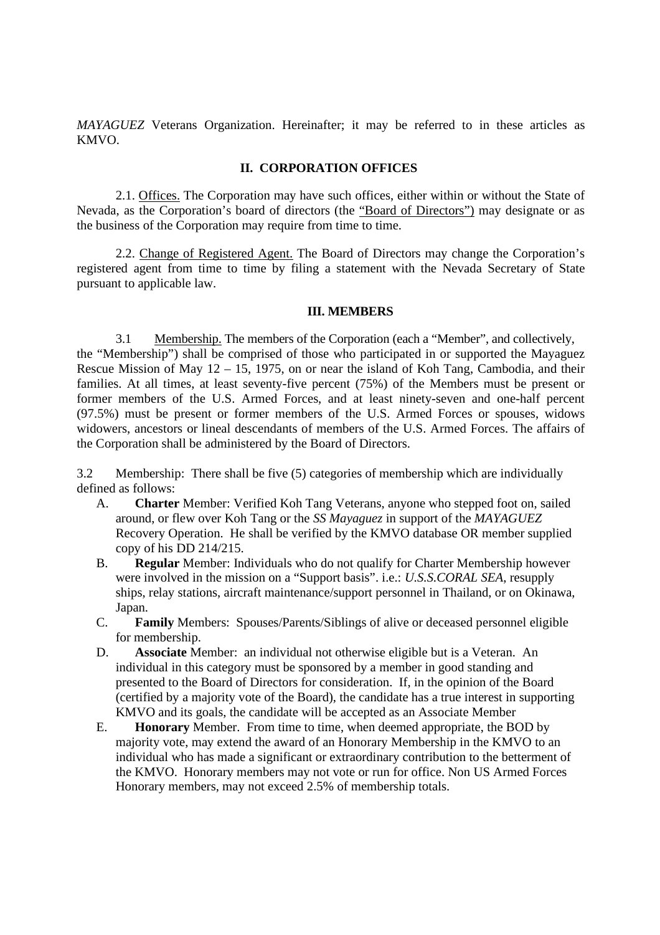*MAYAGUEZ* Veterans Organization. Hereinafter; it may be referred to in these articles as KMVO.

### **II. CORPORATION OFFICES**

2.1. Offices. The Corporation may have such offices, either within or without the State of Nevada, as the Corporation's board of directors (the "Board of Directors") may designate or as the business of the Corporation may require from time to time.

2.2. Change of Registered Agent. The Board of Directors may change the Corporation's registered agent from time to time by filing a statement with the Nevada Secretary of State pursuant to applicable law.

#### **III. MEMBERS**

3.1 Membership. The members of the Corporation (each a "Member", and collectively, the "Membership") shall be comprised of those who participated in or supported the Mayaguez Rescue Mission of May 12 – 15, 1975, on or near the island of Koh Tang, Cambodia, and their families. At all times, at least seventy-five percent (75%) of the Members must be present or former members of the U.S. Armed Forces, and at least ninety-seven and one-half percent (97.5%) must be present or former members of the U.S. Armed Forces or spouses, widows widowers, ancestors or lineal descendants of members of the U.S. Armed Forces. The affairs of the Corporation shall be administered by the Board of Directors.

3.2 Membership: There shall be five (5) categories of membership which are individually defined as follows:

- A. **Charter** Member: Verified Koh Tang Veterans, anyone who stepped foot on, sailed around, or flew over Koh Tang or the *SS Mayaguez* in support of the *MAYAGUEZ* Recovery Operation. He shall be verified by the KMVO database OR member supplied copy of his DD 214/215.
- B. **Regular** Member: Individuals who do not qualify for Charter Membership however were involved in the mission on a "Support basis". i.e.: *U.S.S.CORAL SEA*, resupply ships, relay stations, aircraft maintenance/support personnel in Thailand, or on Okinawa, Japan.
- C. **Family** Members: Spouses/Parents/Siblings of alive or deceased personnel eligible for membership.
- D. **Associate** Member: an individual not otherwise eligible but is a Veteran. An individual in this category must be sponsored by a member in good standing and presented to the Board of Directors for consideration. If, in the opinion of the Board (certified by a majority vote of the Board), the candidate has a true interest in supporting KMVO and its goals, the candidate will be accepted as an Associate Member
- E. **Honorary** Member. From time to time, when deemed appropriate, the BOD by majority vote, may extend the award of an Honorary Membership in the KMVO to an individual who has made a significant or extraordinary contribution to the betterment of the KMVO. Honorary members may not vote or run for office. Non US Armed Forces Honorary members, may not exceed 2.5% of membership totals.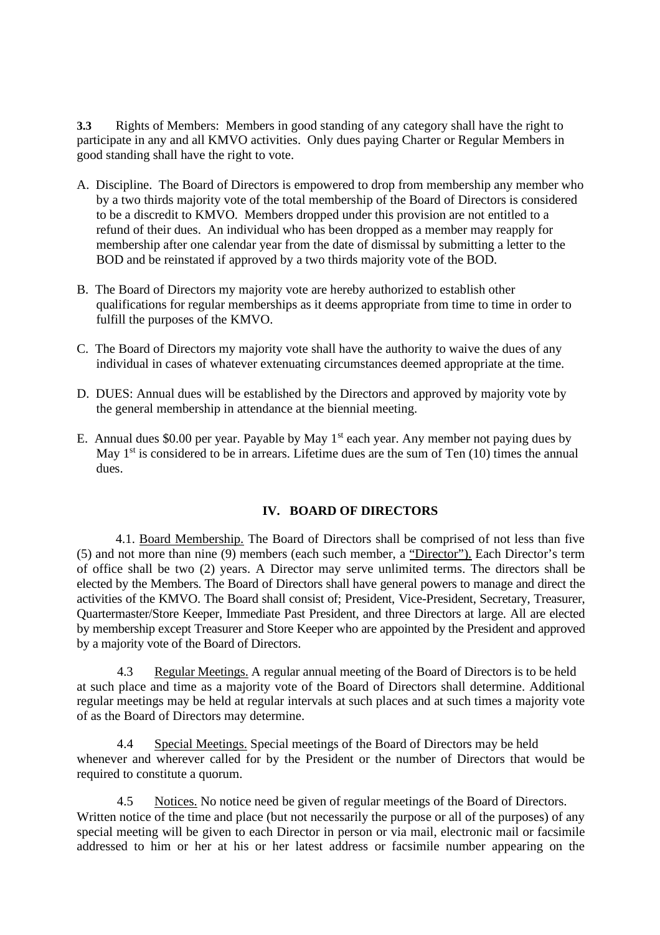**3.3** Rights of Members: Members in good standing of any category shall have the right to participate in any and all KMVO activities. Only dues paying Charter or Regular Members in good standing shall have the right to vote.

- A. Discipline. The Board of Directors is empowered to drop from membership any member who by a two thirds majority vote of the total membership of the Board of Directors is considered to be a discredit to KMVO. Members dropped under this provision are not entitled to a refund of their dues. An individual who has been dropped as a member may reapply for membership after one calendar year from the date of dismissal by submitting a letter to the BOD and be reinstated if approved by a two thirds majority vote of the BOD.
- B. The Board of Directors my majority vote are hereby authorized to establish other qualifications for regular memberships as it deems appropriate from time to time in order to fulfill the purposes of the KMVO.
- C. The Board of Directors my majority vote shall have the authority to waive the dues of any individual in cases of whatever extenuating circumstances deemed appropriate at the time.
- D. DUES: Annual dues will be established by the Directors and approved by majority vote by the general membership in attendance at the biennial meeting.
- E. Annual dues \$0.00 per year. Payable by May  $1<sup>st</sup>$  each year. Any member not paying dues by May  $1<sup>st</sup>$  is considered to be in arrears. Lifetime dues are the sum of Ten (10) times the annual dues.

### **IV. BOARD OF DIRECTORS**

4.1. Board Membership. The Board of Directors shall be comprised of not less than five (5) and not more than nine (9) members (each such member, a "Director"). Each Director's term of office shall be two (2) years. A Director may serve unlimited terms. The directors shall be elected by the Members. The Board of Directors shall have general powers to manage and direct the activities of the KMVO. The Board shall consist of; President, Vice-President, Secretary, Treasurer, Quartermaster/Store Keeper, Immediate Past President, and three Directors at large. All are elected by membership except Treasurer and Store Keeper who are appointed by the President and approved by a majority vote of the Board of Directors.

4.3 Regular Meetings. A regular annual meeting of the Board of Directors is to be held at such place and time as a majority vote of the Board of Directors shall determine. Additional regular meetings may be held at regular intervals at such places and at such times a majority vote of as the Board of Directors may determine.

4.4 Special Meetings. Special meetings of the Board of Directors may be held whenever and wherever called for by the President or the number of Directors that would be required to constitute a quorum.

4.5 Notices. No notice need be given of regular meetings of the Board of Directors. Written notice of the time and place (but not necessarily the purpose or all of the purposes) of any special meeting will be given to each Director in person or via mail, electronic mail or facsimile addressed to him or her at his or her latest address or facsimile number appearing on the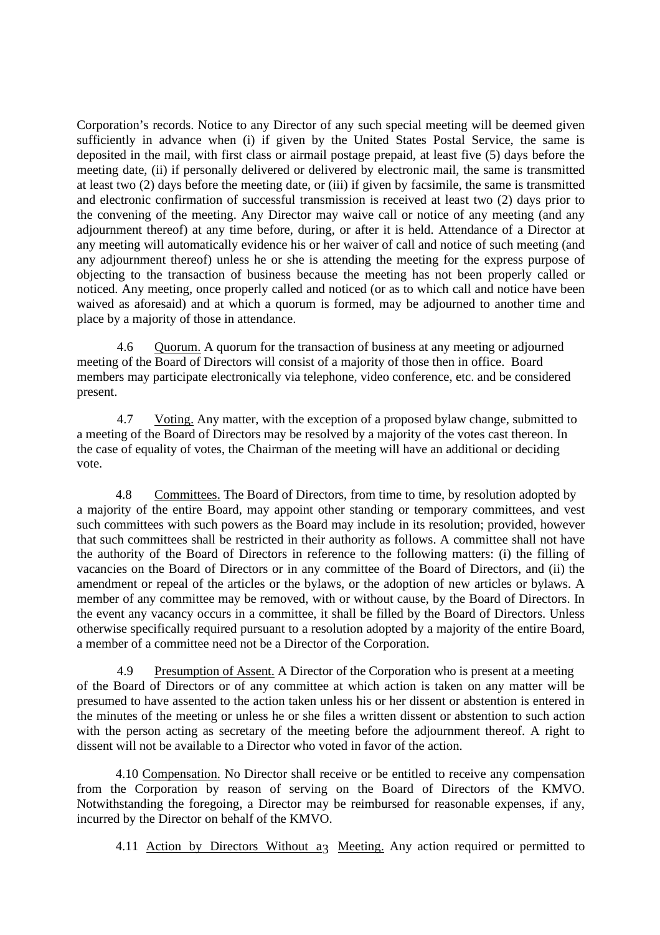Corporation's records. Notice to any Director of any such special meeting will be deemed given sufficiently in advance when (i) if given by the United States Postal Service, the same is deposited in the mail, with first class or airmail postage prepaid, at least five (5) days before the meeting date, (ii) if personally delivered or delivered by electronic mail, the same is transmitted at least two (2) days before the meeting date, or (iii) if given by facsimile, the same is transmitted and electronic confirmation of successful transmission is received at least two (2) days prior to the convening of the meeting. Any Director may waive call or notice of any meeting (and any adjournment thereof) at any time before, during, or after it is held. Attendance of a Director at any meeting will automatically evidence his or her waiver of call and notice of such meeting (and any adjournment thereof) unless he or she is attending the meeting for the express purpose of objecting to the transaction of business because the meeting has not been properly called or noticed. Any meeting, once properly called and noticed (or as to which call and notice have been waived as aforesaid) and at which a quorum is formed, may be adjourned to another time and place by a majority of those in attendance.

4.6 Quorum. A quorum for the transaction of business at any meeting or adjourned meeting of the Board of Directors will consist of a majority of those then in office. Board members may participate electronically via telephone, video conference, etc. and be considered present.

4.7 Voting. Any matter, with the exception of a proposed bylaw change, submitted to a meeting of the Board of Directors may be resolved by a majority of the votes cast thereon. In the case of equality of votes, the Chairman of the meeting will have an additional or deciding vote.

4.8 Committees. The Board of Directors, from time to time, by resolution adopted by a majority of the entire Board, may appoint other standing or temporary committees, and vest such committees with such powers as the Board may include in its resolution; provided, however that such committees shall be restricted in their authority as follows. A committee shall not have the authority of the Board of Directors in reference to the following matters: (i) the filling of vacancies on the Board of Directors or in any committee of the Board of Directors, and (ii) the amendment or repeal of the articles or the bylaws, or the adoption of new articles or bylaws. A member of any committee may be removed, with or without cause, by the Board of Directors. In the event any vacancy occurs in a committee, it shall be filled by the Board of Directors. Unless otherwise specifically required pursuant to a resolution adopted by a majority of the entire Board, a member of a committee need not be a Director of the Corporation.

4.9 Presumption of Assent. A Director of the Corporation who is present at a meeting of the Board of Directors or of any committee at which action is taken on any matter will be presumed to have assented to the action taken unless his or her dissent or abstention is entered in the minutes of the meeting or unless he or she files a written dissent or abstention to such action with the person acting as secretary of the meeting before the adjournment thereof. A right to dissent will not be available to a Director who voted in favor of the action.

4.10 Compensation. No Director shall receive or be entitled to receive any compensation from the Corporation by reason of serving on the Board of Directors of the KMVO. Notwithstanding the foregoing, a Director may be reimbursed for reasonable expenses, if any, incurred by the Director on behalf of the KMVO.

4.11 Action by Directors Without a<sub>3</sub> Meeting. Any action required or permitted to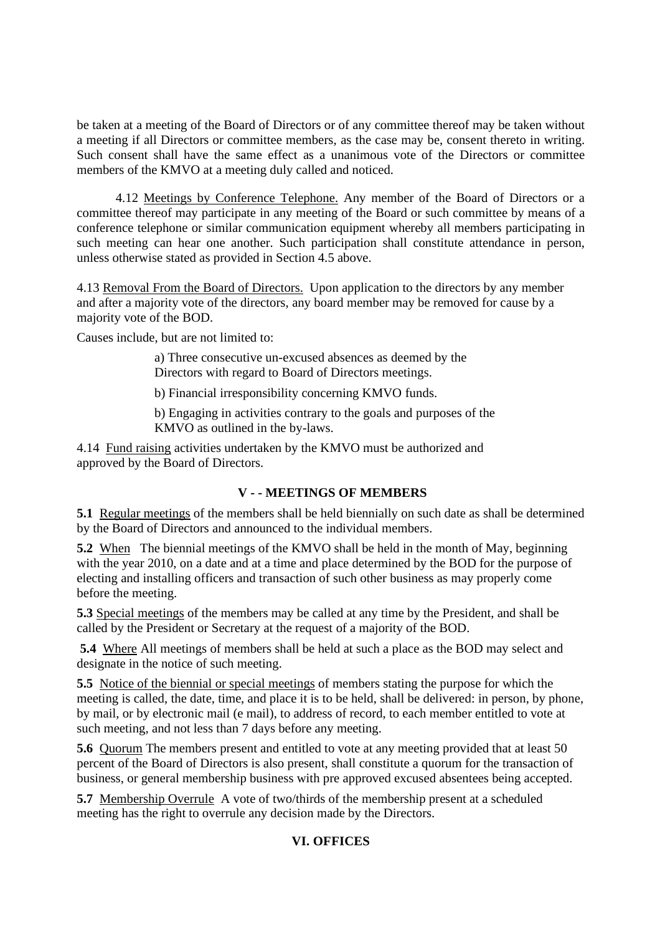be taken at a meeting of the Board of Directors or of any committee thereof may be taken without a meeting if all Directors or committee members, as the case may be, consent thereto in writing. Such consent shall have the same effect as a unanimous vote of the Directors or committee members of the KMVO at a meeting duly called and noticed.

4.12 Meetings by Conference Telephone. Any member of the Board of Directors or a committee thereof may participate in any meeting of the Board or such committee by means of a conference telephone or similar communication equipment whereby all members participating in such meeting can hear one another. Such participation shall constitute attendance in person, unless otherwise stated as provided in Section 4.5 above.

4.13 Removal From the Board of Directors. Upon application to the directors by any member and after a majority vote of the directors, any board member may be removed for cause by a majority vote of the BOD.

Causes include, but are not limited to:

a) Three consecutive un-excused absences as deemed by the Directors with regard to Board of Directors meetings.

b) Financial irresponsibility concerning KMVO funds.

b) Engaging in activities contrary to the goals and purposes of the KMVO as outlined in the by-laws.

4.14 Fund raising activities undertaken by the KMVO must be authorized and approved by the Board of Directors.

## **V - - MEETINGS OF MEMBERS**

**5.1** Regular meetings of the members shall be held biennially on such date as shall be determined by the Board of Directors and announced to the individual members.

**5.2** When The biennial meetings of the KMVO shall be held in the month of May, beginning with the year 2010, on a date and at a time and place determined by the BOD for the purpose of electing and installing officers and transaction of such other business as may properly come before the meeting.

**5.3** Special meetings of the members may be called at any time by the President, and shall be called by the President or Secretary at the request of a majority of the BOD.

**5.4** Where All meetings of members shall be held at such a place as the BOD may select and designate in the notice of such meeting.

**5.5** Notice of the biennial or special meetings of members stating the purpose for which the meeting is called, the date, time, and place it is to be held, shall be delivered: in person, by phone, by mail, or by electronic mail (e mail), to address of record, to each member entitled to vote at such meeting, and not less than 7 days before any meeting.

**5.6** Quorum The members present and entitled to vote at any meeting provided that at least 50 percent of the Board of Directors is also present, shall constitute a quorum for the transaction of business, or general membership business with pre approved excused absentees being accepted.

**5.7** Membership Overrule A vote of two/thirds of the membership present at a scheduled meeting has the right to overrule any decision made by the Directors.

## **VI. OFFICES**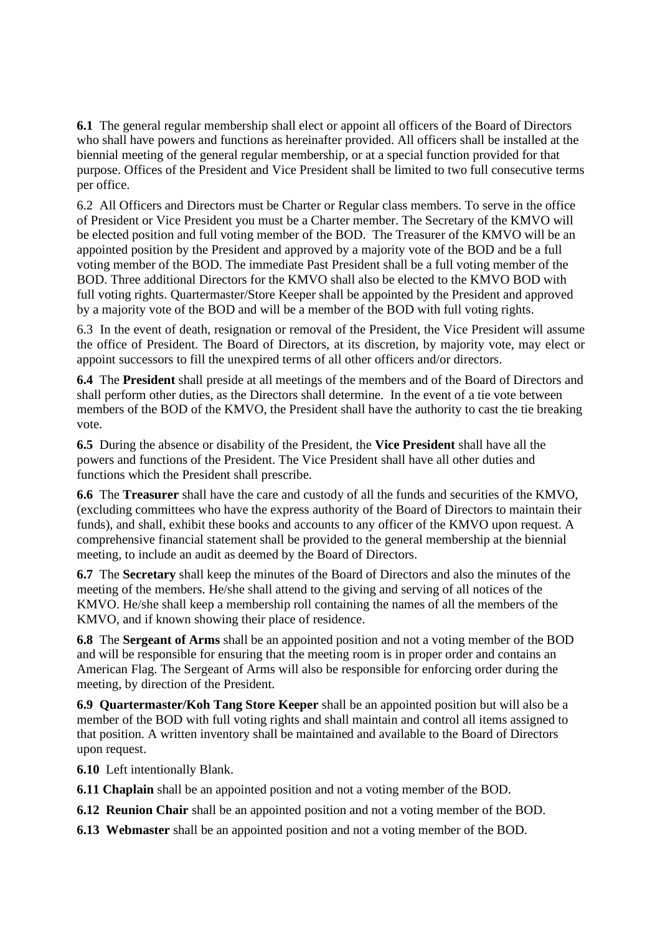**6.1** The general regular membership shall elect or appoint all officers of the Board of Directors who shall have powers and functions as hereinafter provided. All officers shall be installed at the biennial meeting of the general regular membership, or at a special function provided for that purpose. Offices of the President and Vice President shall be limited to two full consecutive terms per office.

6.2 All Officers and Directors must be Charter or Regular class members. To serve in the office of President or Vice President you must be a Charter member. The Secretary of the KMVO will be elected position and full voting member of the BOD. The Treasurer of the KMVO will be an appointed position by the President and approved by a majority vote of the BOD and be a full voting member of the BOD. The immediate Past President shall be a full voting member of the BOD. Three additional Directors for the KMVO shall also be elected to the KMVO BOD with full voting rights. Quartermaster/Store Keeper shall be appointed by the President and approved by a majority vote of the BOD and will be a member of the BOD with full voting rights.

6.3 In the event of death, resignation or removal of the President, the Vice President will assume the office of President. The Board of Directors, at its discretion, by majority vote, may elect or appoint successors to fill the unexpired terms of all other officers and/or directors.

**6.4** The **President** shall preside at all meetings of the members and of the Board of Directors and shall perform other duties, as the Directors shall determine. In the event of a tie vote between members of the BOD of the KMVO, the President shall have the authority to cast the tie breaking vote.

**6.5** During the absence or disability of the President, the **Vice President** shall have all the powers and functions of the President. The Vice President shall have all other duties and functions which the President shall prescribe.

**6.6** The **Treasurer** shall have the care and custody of all the funds and securities of the KMVO, (excluding committees who have the express authority of the Board of Directors to maintain their funds), and shall, exhibit these books and accounts to any officer of the KMVO upon request. A comprehensive financial statement shall be provided to the general membership at the biennial meeting, to include an audit as deemed by the Board of Directors.

**6.7** The **Secretary** shall keep the minutes of the Board of Directors and also the minutes of the meeting of the members. He/she shall attend to the giving and serving of all notices of the KMVO. He/she shall keep a membership roll containing the names of all the members of the KMVO, and if known showing their place of residence.

**6.8** The **Sergeant of Arms** shall be an appointed position and not a voting member of the BOD and will be responsible for ensuring that the meeting room is in proper order and contains an American Flag. The Sergeant of Arms will also be responsible for enforcing order during the meeting, by direction of the President.

**6.9 Quartermaster/Koh Tang Store Keeper** shall be an appointed position but will also be a member of the BOD with full voting rights and shall maintain and control all items assigned to that position. A written inventory shall be maintained and available to the Board of Directors upon request.

**6.10** Left intentionally Blank.

**6.11 Chaplain** shall be an appointed position and not a voting member of the BOD.

**6.12 Reunion Chair** shall be an appointed position and not a voting member of the BOD.

**6.13 Webmaster** shall be an appointed position and not a voting member of the BOD.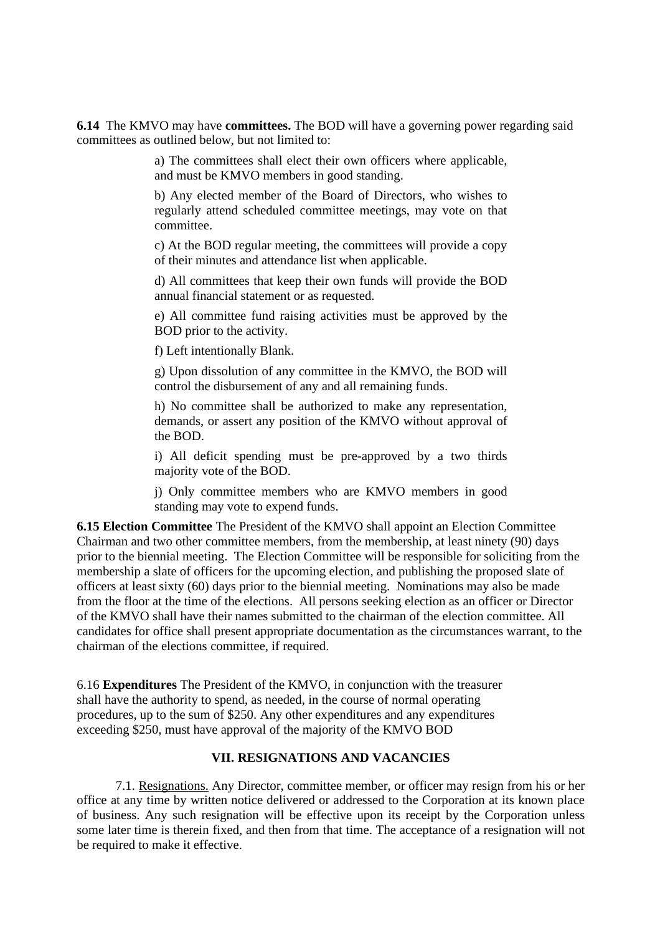**6.14** The KMVO may have **committees.** The BOD will have a governing power regarding said committees as outlined below, but not limited to:

> a) The committees shall elect their own officers where applicable, and must be KMVO members in good standing.

> b) Any elected member of the Board of Directors, who wishes to regularly attend scheduled committee meetings, may vote on that committee.

> c) At the BOD regular meeting, the committees will provide a copy of their minutes and attendance list when applicable.

> d) All committees that keep their own funds will provide the BOD annual financial statement or as requested.

> e) All committee fund raising activities must be approved by the BOD prior to the activity.

f) Left intentionally Blank.

g) Upon dissolution of any committee in the KMVO, the BOD will control the disbursement of any and all remaining funds.

h) No committee shall be authorized to make any representation, demands, or assert any position of the KMVO without approval of the BOD.

i) All deficit spending must be pre-approved by a two thirds majority vote of the BOD.

j) Only committee members who are KMVO members in good standing may vote to expend funds.

**6.15 Election Committee** The President of the KMVO shall appoint an Election Committee Chairman and two other committee members, from the membership, at least ninety (90) days prior to the biennial meeting. The Election Committee will be responsible for soliciting from the membership a slate of officers for the upcoming election, and publishing the proposed slate of officers at least sixty (60) days prior to the biennial meeting. Nominations may also be made from the floor at the time of the elections. All persons seeking election as an officer or Director of the KMVO shall have their names submitted to the chairman of the election committee. All candidates for office shall present appropriate documentation as the circumstances warrant, to the chairman of the elections committee, if required.

6.16 **Expenditures** The President of the KMVO, in conjunction with the treasurer shall have the authority to spend, as needed, in the course of normal operating procedures, up to the sum of \$250. Any other expenditures and any expenditures exceeding \$250, must have approval of the majority of the KMVO BOD

### **VII. RESIGNATIONS AND VACANCIES**

7.1. Resignations. Any Director, committee member, or officer may resign from his or her office at any time by written notice delivered or addressed to the Corporation at its known place of business. Any such resignation will be effective upon its receipt by the Corporation unless some later time is therein fixed, and then from that time. The acceptance of a resignation will not be required to make it effective.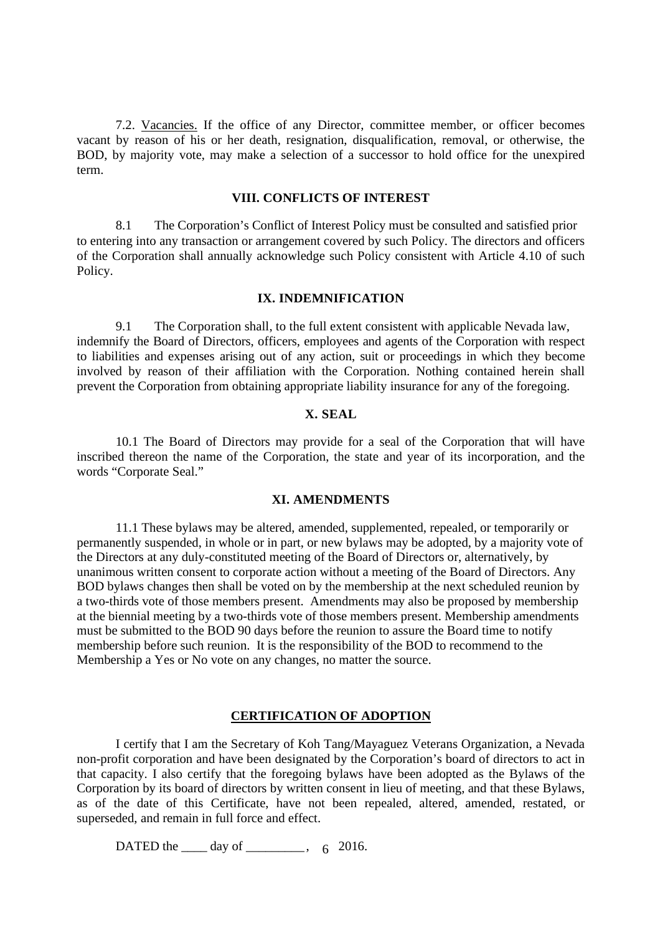7.2. Vacancies. If the office of any Director, committee member, or officer becomes vacant by reason of his or her death, resignation, disqualification, removal, or otherwise, the BOD, by majority vote, may make a selection of a successor to hold office for the unexpired term.

#### **VIII. CONFLICTS OF INTEREST**

8.1 The Corporation's Conflict of Interest Policy must be consulted and satisfied prior to entering into any transaction or arrangement covered by such Policy. The directors and officers of the Corporation shall annually acknowledge such Policy consistent with Article 4.10 of such Policy.

## **IX. INDEMNIFICATION**

9.1 The Corporation shall, to the full extent consistent with applicable Nevada law, indemnify the Board of Directors, officers, employees and agents of the Corporation with respect to liabilities and expenses arising out of any action, suit or proceedings in which they become involved by reason of their affiliation with the Corporation. Nothing contained herein shall prevent the Corporation from obtaining appropriate liability insurance for any of the foregoing.

#### **X. SEAL**

10.1 The Board of Directors may provide for a seal of the Corporation that will have inscribed thereon the name of the Corporation, the state and year of its incorporation, and the words "Corporate Seal."

#### **XI. AMENDMENTS**

11.1 These bylaws may be altered, amended, supplemented, repealed, or temporarily or permanently suspended, in whole or in part, or new bylaws may be adopted, by a majority vote of the Directors at any duly-constituted meeting of the Board of Directors or, alternatively, by unanimous written consent to corporate action without a meeting of the Board of Directors. Any BOD bylaws changes then shall be voted on by the membership at the next scheduled reunion by a two-thirds vote of those members present. Amendments may also be proposed by membership at the biennial meeting by a two-thirds vote of those members present. Membership amendments must be submitted to the BOD 90 days before the reunion to assure the Board time to notify membership before such reunion. It is the responsibility of the BOD to recommend to the Membership a Yes or No vote on any changes, no matter the source.

### **CERTIFICATION OF ADOPTION**

I certify that I am the Secretary of Koh Tang/Mayaguez Veterans Organization, a Nevada non-profit corporation and have been designated by the Corporation's board of directors to act in that capacity. I also certify that the foregoing bylaws have been adopted as the Bylaws of the Corporation by its board of directors by written consent in lieu of meeting, and that these Bylaws, as of the date of this Certificate, have not been repealed, altered, amended, restated, or superseded, and remain in full force and effect.

DATED the  $\_\_\_$  day of  $\_\_\_\_\_\_$ , 6 2016.